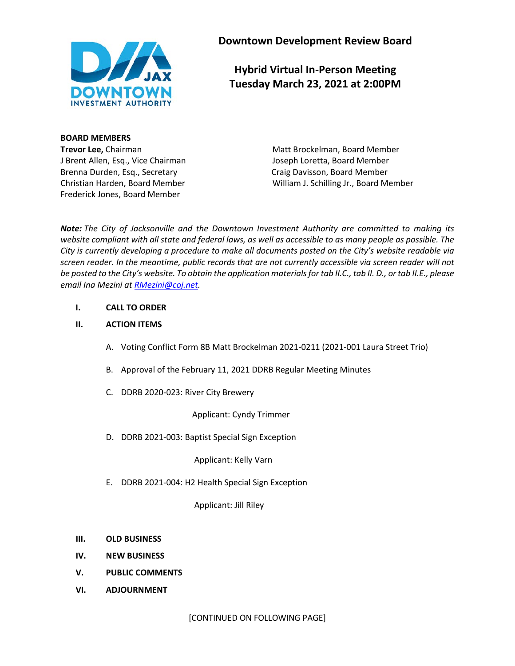

**Downtown Development Review Board**

**Hybrid Virtual In-Person Meeting Tuesday March 23, 2021 at 2:00PM**

**BOARD MEMBERS** J Brent Allen, Esq., Vice Chairman Joseph Loretta, Board Member Brenna Durden, Esq., Secretary **Craig Davisson, Board Member** Craig Davisson, Board Member Frederick Jones, Board Member

**Trevor Lee,** Chairman Matt Brockelman, Board Member Christian Harden, Board Member William J. Schilling Jr., Board Member

*Note: The City of Jacksonville and the Downtown Investment Authority are committed to making its website compliant with all state and federal laws, as well as accessible to as many people as possible. The City is currently developing a procedure to make all documents posted on the City's website readable via screen reader. In the meantime, public records that are not currently accessible via screen reader will not be posted to the City's website. To obtain the application materials for tab II.C., tab II. D., or tab II.E., please email Ina Mezini a[t RMezini@coj.net.](mailto:RMezini@coj.net)*

#### **I. CALL TO ORDER**

### **II. ACTION ITEMS**

- A. Voting Conflict Form 8B Matt Brockelman 2021-0211 (2021-001 Laura Street Trio)
- B. Approval of the February 11, 2021 DDRB Regular Meeting Minutes
- C. DDRB 2020-023: River City Brewery

Applicant: Cyndy Trimmer

D. DDRB 2021-003: Baptist Special Sign Exception

Applicant: Kelly Varn

E. DDRB 2021-004: H2 Health Special Sign Exception

Applicant: Jill Riley

- **III. OLD BUSINESS**
- **IV. NEW BUSINESS**
- **V. PUBLIC COMMENTS**
- **VI. ADJOURNMENT**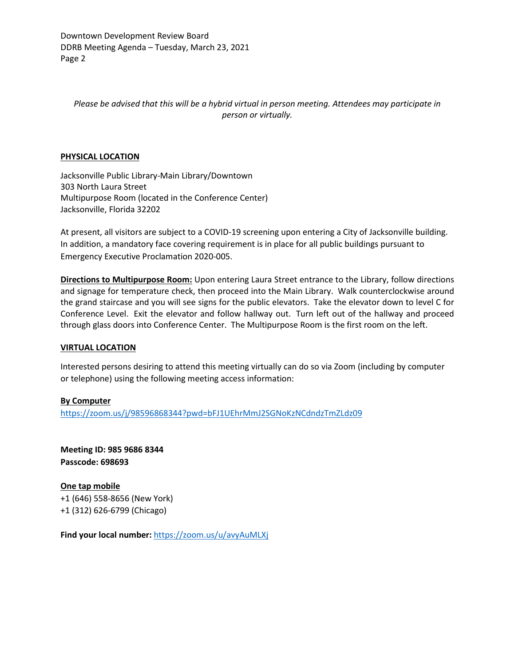Downtown Development Review Board DDRB Meeting Agenda – Tuesday, March 23, 2021 Page 2

*Please be advised that this will be a hybrid virtual in person meeting. Attendees may participate in person or virtually.*

#### **PHYSICAL LOCATION**

Jacksonville Public Library-Main Library/Downtown 303 North Laura Street Multipurpose Room (located in the Conference Center) Jacksonville, Florida 32202

At present, all visitors are subject to a COVID-19 screening upon entering a City of Jacksonville building. In addition, a mandatory face covering requirement is in place for all public buildings pursuant to Emergency Executive Proclamation 2020-005.

**Directions to Multipurpose Room:** Upon entering Laura Street entrance to the Library, follow directions and signage for temperature check, then proceed into the Main Library. Walk counterclockwise around the grand staircase and you will see signs for the public elevators. Take the elevator down to level C for Conference Level. Exit the elevator and follow hallway out. Turn left out of the hallway and proceed through glass doors into Conference Center. The Multipurpose Room is the first room on the left.

#### **VIRTUAL LOCATION**

Interested persons desiring to attend this meeting virtually can do so via Zoom (including by computer or telephone) using the following meeting access information:

#### **By Computer**

<https://zoom.us/j/98596868344?pwd=bFJ1UEhrMmJ2SGNoKzNCdndzTmZLdz09>

**Meeting ID: 985 9686 8344 Passcode: 698693**

**One tap mobile** +1 (646) 558-8656 (New York) +1 (312) 626-6799 (Chicago)

**Find your local number:** <https://zoom.us/u/avyAuMLXj>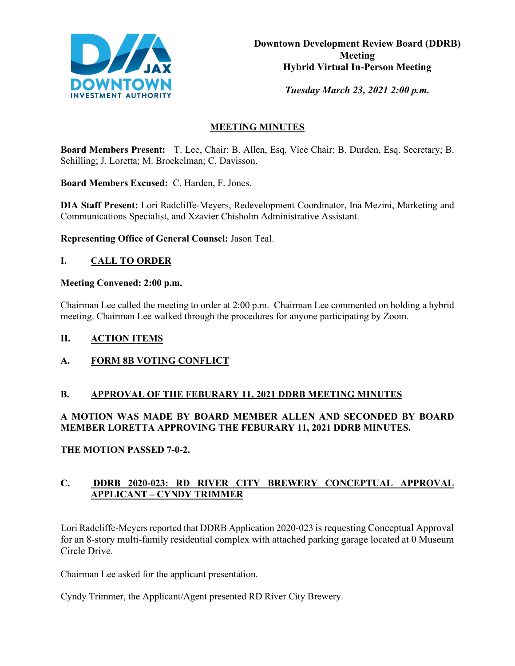

*Tuesday March 23, 2021 2:00 p.m.* 

# **MEETING MINUTES**

**Board Members Present:** T. Lee, Chair; B. Allen, Esq, Vice Chair; B. Durden, Esq. Secretary; B. Schilling; J. Loretta; M. Brockelman; C. Davisson.

**Board Members Excused:** C. Harden, F. Jones.

**DIA Staff Present:** Lori Radcliffe-Meyers, Redevelopment Coordinator, Ina Mezini, Marketing and Communications Specialist, and Xzavier Chisholm Administrative Assistant.

**Representing Office of General Counsel:** Jason Teal.

# **I. CALL TO ORDER**

## **Meeting Convened: 2:00 p.m.**

Chairman Lee called the meeting to order at 2:00 p.m. Chairman Lee commented on holding a hybrid meeting. Chairman Lee walked through the procedures for anyone participating by Zoom.

## **II. ACTION ITEMS**

# **A. FORM 8B VOTING CONFLICT**

## **B. APPROVAL OF THE FEBURARY 11, 2021 DDRB MEETING MINUTES**

# **A MOTION WAS MADE BY BOARD MEMBER ALLEN AND SECONDED BY BOARD MEMBER LORETTA APPROVING THE FEBURARY 11, 2021 DDRB MINUTES.**

## **THE MOTION PASSED 7-0-2.**

# **C. DDRB 2020-023: RD RIVER CITY BREWERY CONCEPTUAL APPROVAL APPLICANT – CYNDY TRIMMER**

Lori Radcliffe-Meyers reported that DDRB Application 2020-023 is requesting Conceptual Approval for an 8-story multi-family residential complex with attached parking garage located at 0 Museum Circle Drive.

Chairman Lee asked for the applicant presentation.

Cyndy Trimmer, the Applicant/Agent presented RD River City Brewery.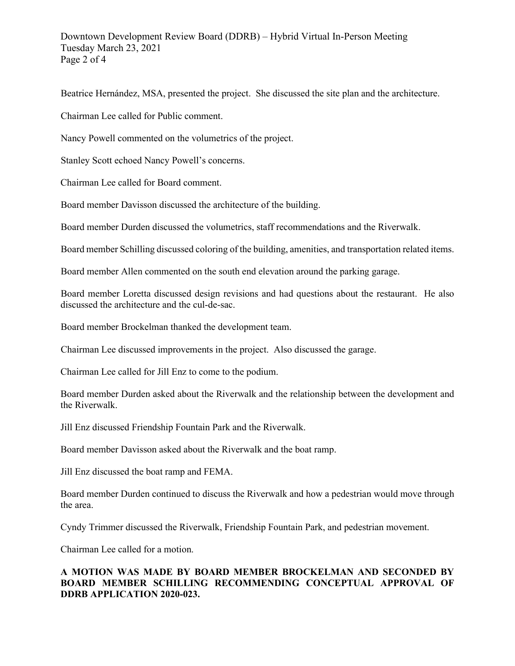# Downtown Development Review Board (DDRB) – Hybrid Virtual In-Person Meeting Tuesday March 23, 2021 Page 2 of 4

Beatrice Hernández, MSA, presented the project. She discussed the site plan and the architecture.

Chairman Lee called for Public comment.

Nancy Powell commented on the volumetrics of the project.

Stanley Scott echoed Nancy Powell's concerns.

Chairman Lee called for Board comment.

Board member Davisson discussed the architecture of the building.

Board member Durden discussed the volumetrics, staff recommendations and the Riverwalk.

Board member Schilling discussed coloring of the building, amenities, and transportation related items.

Board member Allen commented on the south end elevation around the parking garage.

Board member Loretta discussed design revisions and had questions about the restaurant. He also discussed the architecture and the cul-de-sac.

Board member Brockelman thanked the development team.

Chairman Lee discussed improvements in the project. Also discussed the garage.

Chairman Lee called for Jill Enz to come to the podium.

Board member Durden asked about the Riverwalk and the relationship between the development and the Riverwalk.

Jill Enz discussed Friendship Fountain Park and the Riverwalk.

Board member Davisson asked about the Riverwalk and the boat ramp.

Jill Enz discussed the boat ramp and FEMA.

Board member Durden continued to discuss the Riverwalk and how a pedestrian would move through the area.

Cyndy Trimmer discussed the Riverwalk, Friendship Fountain Park, and pedestrian movement.

Chairman Lee called for a motion.

# **A MOTION WAS MADE BY BOARD MEMBER BROCKELMAN AND SECONDED BY BOARD MEMBER SCHILLING RECOMMENDING CONCEPTUAL APPROVAL OF DDRB APPLICATION 2020-023.**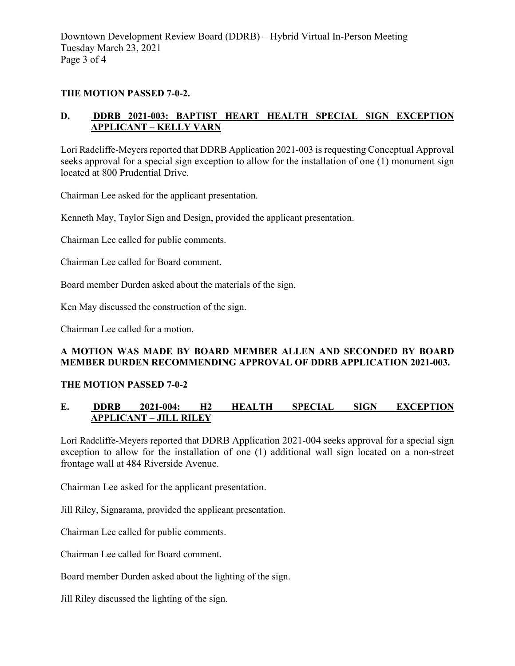Downtown Development Review Board (DDRB) – Hybrid Virtual In-Person Meeting Tuesday March 23, 2021 Page 3 of 4

## **THE MOTION PASSED 7-0-2.**

# **D. DDRB 2021-003: BAPTIST HEART HEALTH SPECIAL SIGN EXCEPTION APPLICANT – KELLY VARN**

Lori Radcliffe-Meyers reported that DDRB Application 2021-003 is requesting Conceptual Approval seeks approval for a special sign exception to allow for the installation of one (1) monument sign located at 800 Prudential Drive.

Chairman Lee asked for the applicant presentation.

Kenneth May, Taylor Sign and Design, provided the applicant presentation.

Chairman Lee called for public comments.

Chairman Lee called for Board comment.

Board member Durden asked about the materials of the sign.

Ken May discussed the construction of the sign.

Chairman Lee called for a motion.

# **A MOTION WAS MADE BY BOARD MEMBER ALLEN AND SECONDED BY BOARD MEMBER DURDEN RECOMMENDING APPROVAL OF DDRB APPLICATION 2021-003.**

#### **THE MOTION PASSED 7-0-2**

# **E. DDRB 2021-004: H2 HEALTH SPECIAL SIGN EXCEPTION APPLICANT – JILL RILEY**

Lori Radcliffe-Meyers reported that DDRB Application 2021-004 seeks approval for a special sign exception to allow for the installation of one (1) additional wall sign located on a non-street frontage wall at 484 Riverside Avenue.

Chairman Lee asked for the applicant presentation.

Jill Riley, Signarama, provided the applicant presentation.

Chairman Lee called for public comments.

Chairman Lee called for Board comment.

Board member Durden asked about the lighting of the sign.

Jill Riley discussed the lighting of the sign.